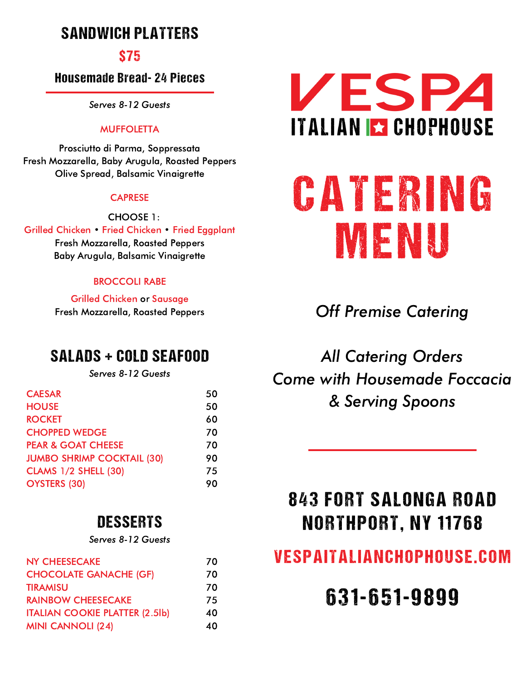## SANDWICH PLATTERS

### \$75

### Housemade Bread- 24 Pieces

Serves 8-12 Guests

### **MUFFOLETTA**

Prosciutto di Parma, Soppressata Fresh Mozzarella, Baby Arugula, Roasted Peppers Olive Spread, Balsamic Vinaigrette

#### **CAPRESE**

CHOOSE 1: Grilled Chicken • Fried Chicken • Fried Eggplant Fresh Mozzarella, Roasted Peppers Baby Arugula, Balsamic Vinaigrette

### BROCCOLI RABE

Grilled Chicken or Sausage Fresh Mozzarella, Roasted Peppers

### SALADS + COLD SEAFOOD

Serves 8-12 Guests

| <b>CAESAR</b>                     | 50 |
|-----------------------------------|----|
| <b>HOUSE</b>                      | 50 |
| <b>ROCKET</b>                     | 60 |
| <b>CHOPPED WEDGE</b>              | 70 |
| <b>PEAR &amp; GOAT CHEESE</b>     | 70 |
| <b>JUMBO SHRIMP COCKTAIL (30)</b> | 90 |
| <b>CLAMS 1/2 SHELL (30)</b>       | 75 |
| <b>OYSTERS (30)</b>               | 90 |

### **DESSERTS**

Serves 8-12 Guests

| <b>NY CHEESECAKE</b>                  | 70 |
|---------------------------------------|----|
| <b>CHOCOLATE GANACHE (GF)</b>         | 70 |
| <b>TIRAMISU</b>                       | 70 |
| <b>RAINBOW CHEESECAKE</b>             | 75 |
| <b>ITALIAN COOKIE PLATTER (2.5lb)</b> | 40 |
| <b>MINI CANNOLI (24)</b>              | 40 |



# CATERING MENU

Off Premise Catering

All Catering Orders Come with Housemade Foccacia & Serving Spoons

# 843 FORT SALONGA ROAD NORTHPORT, NY 11768

## VESPAITALIANCHOPHOUSE.COM

# 631-651-9899